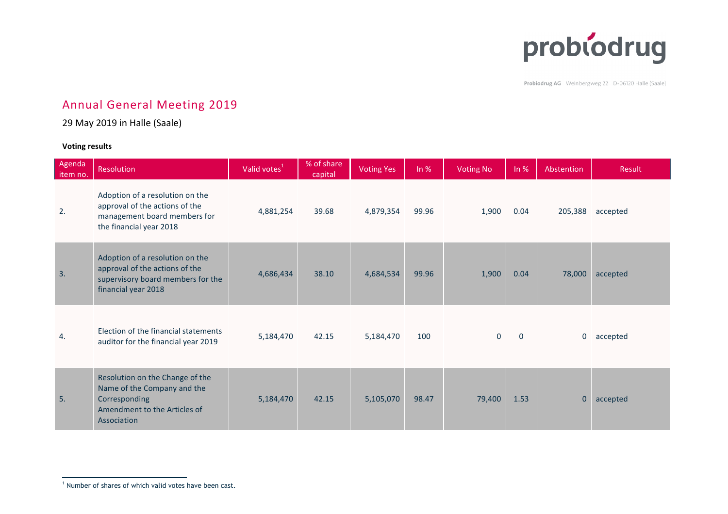

Probiodrug AG Weinbergweg 22 D-06120 Halle (Saale)

## Annual General Meeting 2019

## 29 May 2019 in Halle (Saale)

## **Voting results**

| Agenda<br>item no. | Resolution                                                                                                                     | Valid votes <sup>1</sup> | % of share<br>capital | <b>Voting Yes</b> | ln %  | <b>Voting No</b> | ln %        | Abstention  | Result   |
|--------------------|--------------------------------------------------------------------------------------------------------------------------------|--------------------------|-----------------------|-------------------|-------|------------------|-------------|-------------|----------|
| 2.                 | Adoption of a resolution on the<br>approval of the actions of the<br>management board members for<br>the financial year 2018   | 4,881,254                | 39.68                 | 4,879,354         | 99.96 | 1,900            | 0.04        | 205,388     | accepted |
| 3.                 | Adoption of a resolution on the<br>approval of the actions of the<br>supervisory board members for the<br>financial year 2018  | 4,686,434                | 38.10                 | 4,684,534         | 99.96 | 1,900            | 0.04        | 78,000      | accepted |
| 4.                 | Election of the financial statements<br>auditor for the financial year 2019                                                    | 5,184,470                | 42.15                 | 5,184,470         | 100   | $\mathbf 0$      | $\mathbf 0$ | 0           | accepted |
| 5.                 | Resolution on the Change of the<br>Name of the Company and the<br>Corresponding<br>Amendment to the Articles of<br>Association | 5,184,470                | 42.15                 | 5,105,070         | 98.47 | 79,400           | 1.53        | $\mathbf 0$ | accepted |

<sup>&</sup>lt;sup>1</sup> Number of shares of which valid votes have been cast.